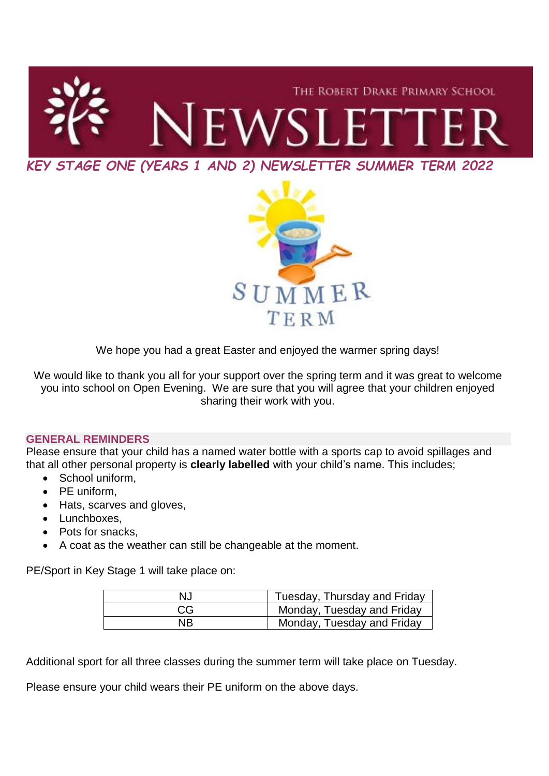



We hope you had a great Easter and enjoyed the warmer spring days!

We would like to thank you all for your support over the spring term and it was great to welcome you into school on Open Evening. We are sure that you will agree that your children enjoyed sharing their work with you.

# **GENERAL REMINDERS**

Please ensure that your child has a named water bottle with a sports cap to avoid spillages and that all other personal property is **clearly labelled** with your child's name. This includes;

- School uniform.
- PE uniform,
- Hats, scarves and gloves,
- Lunchboxes,
- Pots for snacks.
- A coat as the weather can still be changeable at the moment.

PE/Sport in Key Stage 1 will take place on:

| N.J | Tuesday, Thursday and Friday |
|-----|------------------------------|
| CG  | Monday, Tuesday and Friday   |
| NΒ  | Monday, Tuesday and Friday   |

Additional sport for all three classes during the summer term will take place on Tuesday.

Please ensure your child wears their PE uniform on the above days.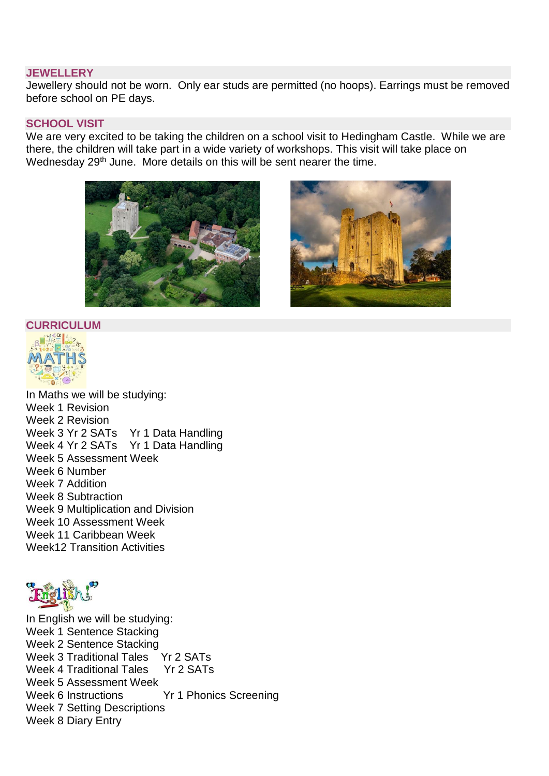### **JEWELLERY**

Jewellery should not be worn. Only ear studs are permitted (no hoops). Earrings must be removed before school on PE days.

### **SCHOOL VISIT**

We are very excited to be taking the children on a school visit to Hedingham Castle. While we are there, the children will take part in a wide variety of workshops. This visit will take place on Wednesday 29<sup>th</sup> June. More details on this will be sent nearer the time.





### **CURRICULUM**



In Maths we will be studying: Week 1 Revision Week 2 Revision Week 3 Yr 2 SATs Yr 1 Data Handling Week 4 Yr 2 SATs Yr 1 Data Handling Week 5 Assessment Week Week 6 Number Week 7 Addition Week 8 Subtraction Week 9 Multiplication and Division Week 10 Assessment Week Week 11 Caribbean Week Week12 Transition Activities



In English we will be studying: Week 1 Sentence Stacking Week 2 Sentence Stacking Week 3 Traditional Tales Yr 2 SATs Week 4 Traditional Tales Yr 2 SATs Week 5 Assessment Week Week 6 Instructions Yr 1 Phonics Screening Week 7 Setting Descriptions Week 8 Diary Entry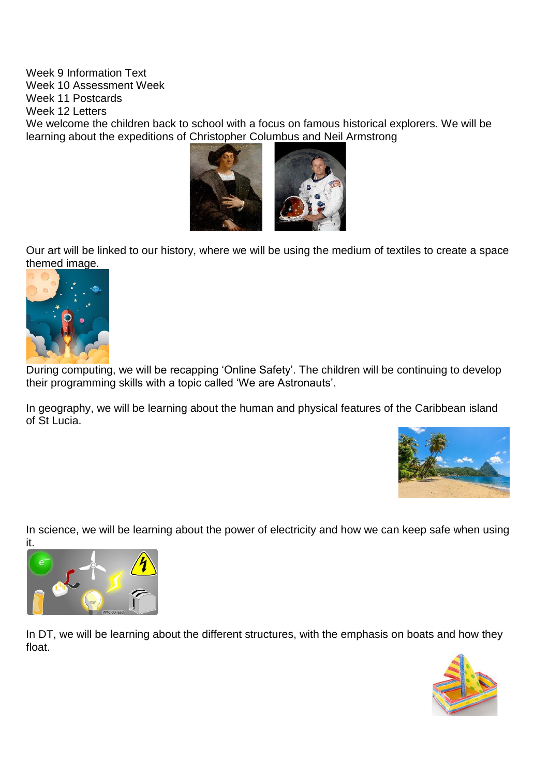Week 9 Information Text Week 10 Assessment Week Week 11 Postcards Week 12 Letters We welcome the children back to school with a focus on famous historical explorers. We will be learning about the expeditions of Christopher Columbus and Neil Armstrong



Our art will be linked to our history, where we will be using the medium of textiles to create a space themed image.



During computing, we will be recapping 'Online Safety'. The children will be continuing to develop their programming skills with a topic called 'We are Astronauts'.

In geography, we will be learning about the human and physical features of the Caribbean island of St Lucia.



In science, we will be learning about the power of electricity and how we can keep safe when using it.



In DT, we will be learning about the different structures, with the emphasis on boats and how they float.